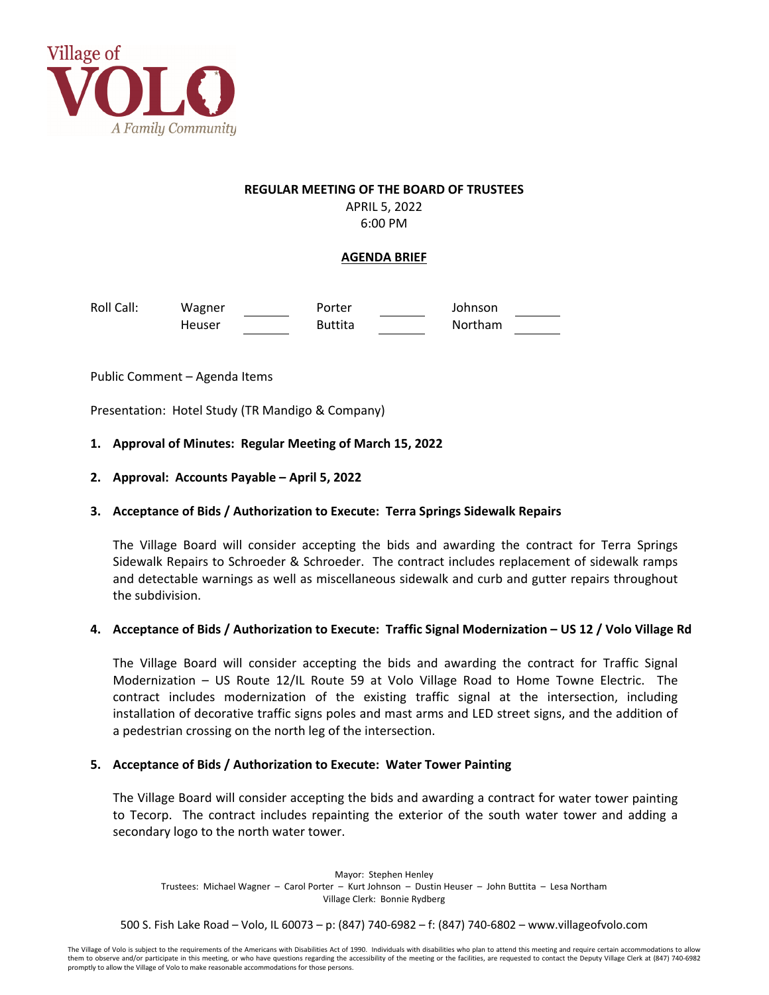

#### **REGULAR MEETING OF THE BOARD OF TRUSTEES**

APRIL 5, 2022 6:00 PM

# **AGENDA BRIEF**

Roll Call: Wagner Porter Johnson Heuser Buttita Northam

Public Comment – Agenda Items

Presentation: Hotel Study (TR Mandigo & Company)

## **1. Approval of Minutes: Regular Meeting of March 15, 2022**

**2. Approval: Accounts Payable – April 5, 2022**

# **3. Acceptance of Bids / Authorization to Execute: Terra Springs Sidewalk Repairs**

The Village Board will consider accepting the bids and awarding the contract for Terra Springs Sidewalk Repairs to Schroeder & Schroeder. The contract includes replacement of sidewalk ramps and detectable warnings as well as miscellaneous sidewalk and curb and gutter repairs throughout the subdivision.

## 4. Acceptance of Bids / Authorization to Execute: Traffic Signal Modernization – US 12 / Volo Village Rd

The Village Board will consider accepting the bids and awarding the contract for Traffic Signal Modernization – US Route 12/IL Route 59 at Volo Village Road to Home Towne Electric. The contract includes modernization of the existing traffic signal at the intersection, including installation of decorative traffic signs poles and mast arms and LED street signs, and the addition of a pedestrian crossing on the north leg of the intersection.

## **5. Acceptance of Bids / Authorization to Execute: Water Tower Painting**

The Village Board will consider accepting the bids and awarding a contract for water tower painting to Tecorp. The contract includes repainting the exterior of the south water tower and adding a secondary logo to the north water tower.

Mayor: Stephen Henley Trustees: Michael Wagner – Carol Porter – Kurt Johnson – Dustin Heuser – John Buttita – Lesa Northam Village Clerk: Bonnie Rydberg

500 S. Fish Lake Road – Volo, IL 60073 – p: (847) 740‐6982 – f: (847) 740‐6802 – www.villageofvolo.com